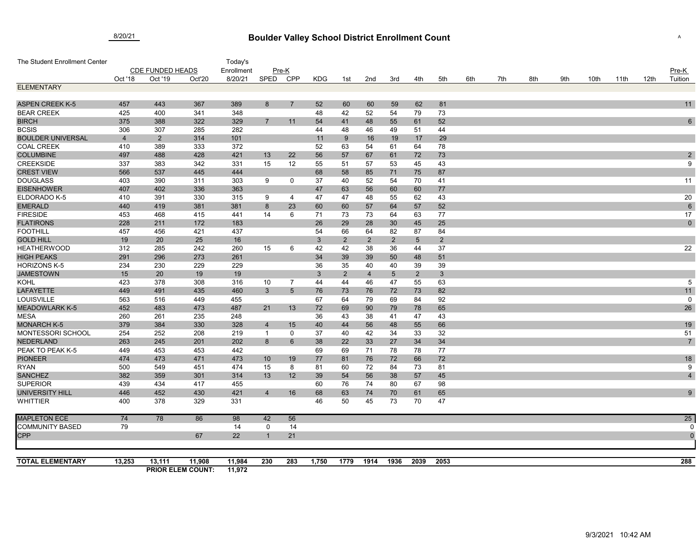## **Boulder Valley School District Enrollment Count** 8/20/21 <sup>A</sup>

| The Student Enrollment Center |                         |                |                                    | Today's          |                 |                 |              |                |                |                |                 |                |     |     |     |     |      |      |      |                  |
|-------------------------------|-------------------------|----------------|------------------------------------|------------------|-----------------|-----------------|--------------|----------------|----------------|----------------|-----------------|----------------|-----|-----|-----|-----|------|------|------|------------------|
|                               | <b>CDE FUNDED HEADS</b> |                |                                    | Enrollment       | Pre-K           |                 |              |                |                |                |                 |                |     |     |     |     |      |      |      | $Pre-K$          |
|                               | Oct '18                 | Oct '19        | Oct'20                             | 8/20/21          | SPED            | <b>CPP</b>      | <b>KDG</b>   | 1st            | 2nd            | 3rd            | 4th             | 5th            | 6th | 7th | 8th | 9th | 10th | 11th | 12th | Tuition          |
| <b>ELEMENTARY</b>             |                         |                |                                    |                  |                 |                 |              |                |                |                |                 |                |     |     |     |     |      |      |      |                  |
| <b>ASPEN CREEK K-5</b>        | 457                     | 443            | 367                                | 389              |                 | $\overline{7}$  |              | 60             | 60             |                | 62              | 81             |     |     |     |     |      |      |      | 11               |
| <b>BEAR CREEK</b>             | 425                     | 400            | 341                                | 348              | 8               |                 | 52<br>48     |                |                | 59<br>54       | 79              | 73             |     |     |     |     |      |      |      |                  |
| <b>BIRCH</b>                  | 375                     | 388            | 322                                | 329              | $\overline{7}$  | 11              | 54           | 42             | 52             |                | 61              | 52             |     |     |     |     |      |      |      | $\,6\,$          |
| <b>BCSIS</b>                  | 306                     | 307            | 285                                | 282              |                 |                 | 44           | 41<br>48       | 48<br>46       | 55<br>49       | 51              | 44             |     |     |     |     |      |      |      |                  |
| <b>BOULDER UNIVERSAL</b>      | $\overline{4}$          | $\overline{2}$ | 314                                | 101              |                 |                 | 11           | 9              | 16             | 19             | 17              | 29             |     |     |     |     |      |      |      |                  |
| <b>COAL CREEK</b>             | 410                     | 389            | 333                                | 372              |                 |                 | 52           | 63             | 54             | 61             | 64              | 78             |     |     |     |     |      |      |      |                  |
| <b>COLUMBINE</b>              | 497                     | 488            | 428                                | 421              | 13              | 22              | 56           | 57             | 67             | 61             | 72              | 73             |     |     |     |     |      |      |      | $\boldsymbol{2}$ |
| <b>CREEKSIDE</b>              | 337                     | 383            | 342                                | 331              | 15              | 12              | 55           | 51             | 57             | 53             | 45              | 43             |     |     |     |     |      |      |      | 9                |
| <b>CREST VIEW</b>             | 566                     | 537            | 445                                | 444              |                 |                 | 68           | 58             | 85             | 71             | 75              | 87             |     |     |     |     |      |      |      |                  |
| <b>DOUGLASS</b>               | 403                     | 390            | 311                                | 303              | 9               | 0               | 37           | 40             | 52             | 54             | 70              | 41             |     |     |     |     |      |      |      | 11               |
| <b>EISENHOWER</b>             | 407                     | 402            | 336                                | 363              |                 |                 | 47           | 63             | 56             | 60             | 60              | 77             |     |     |     |     |      |      |      |                  |
| ELDORADO K-5                  | 410                     | 391            | 330                                | 315              | 9               | 4               | 47           | 47             | 48             | 55             | 62              | 43             |     |     |     |     |      |      |      | 20               |
| <b>EMERALD</b>                | 440                     | 419            | 381                                | 381              | 8               | 23              | 60           | 60             | 57             | 64             | 57              | 52             |     |     |     |     |      |      |      | $\,6\,$          |
| <b>FIRESIDE</b>               | 453                     | 468            | 415                                | 441              | 14              | 6               | 71           | 73             | 73             | 64             | 63              | 77             |     |     |     |     |      |      |      | 17               |
| <b>FLATIRONS</b>              | 228                     | 211            | 172                                | 183              |                 |                 | 26           | 29             | 28             | 30             | 45              | 25             |     |     |     |     |      |      |      | $\mathbf 0$      |
| <b>FOOTHILL</b>               | 457                     | 456            | 421                                | 437              |                 |                 | 54           | 66             | 64             | 82             | 87              | 84             |     |     |     |     |      |      |      |                  |
| <b>GOLD HILL</b>              | 19                      | 20             | 25                                 | 16               |                 |                 | $\mathbf{3}$ | $\overline{2}$ | $\overline{2}$ | $\overline{2}$ | $5\phantom{.0}$ | $\overline{2}$ |     |     |     |     |      |      |      |                  |
| <b>HEATHERWOOD</b>            | 312                     | 285            | 242                                | 260              | 15              | 6               | 42           | 42             | 38             | 36             | 44              | 37             |     |     |     |     |      |      |      | 22               |
| <b>HIGH PEAKS</b>             | 291                     | 296            | 273                                | 261              |                 |                 | 34           | 39             | 39             | 50             | 48              | 51             |     |     |     |     |      |      |      |                  |
| <b>HORIZONS K-5</b>           | 234                     | 230            | 229                                | 229              |                 |                 | 36           | 35             | 40             | 40             | 39              | 39             |     |     |     |     |      |      |      |                  |
| <b>JAMESTOWN</b>              | 15                      | 20             | 19                                 | 19               |                 |                 | 3            | $\overline{2}$ | $\overline{4}$ | $\overline{5}$ | $\overline{2}$  | 3              |     |     |     |     |      |      |      |                  |
| <b>KOHL</b>                   | 423                     | 378            | 308                                | 316              | 10              | 7               | 44           | 44             | 46             | 47             | 55              | 63             |     |     |     |     |      |      |      | $\,$ 5 $\,$      |
| <b>LAFAYETTE</b>              | 449                     | 491            | 435                                | 460              | 3               | $5\overline{)}$ | 76           | 73             | 76             | 72             | 73              | 82             |     |     |     |     |      |      |      | 11               |
| LOUISVILLE                    | 563                     | 516            | 449                                | 455              |                 |                 | 67           | 64             | 79             | 69             | 84              | 92             |     |     |     |     |      |      |      | 0                |
| <b>MEADOWLARK K-5</b>         | 452                     | 483            | 473                                | 487              | 21              | 13              | 72           | 69             | 90             | 79             | 78              | 65             |     |     |     |     |      |      |      | 26               |
| <b>MESA</b>                   | 260                     | 261            | 235                                | 248              |                 |                 | 36           | 43             | 38             | 41             | 47              | 43             |     |     |     |     |      |      |      |                  |
| <b>MONARCH K-5</b>            | 379                     | 384            | 330                                | 328              | $\overline{4}$  | 15              | 40           | 44             | 56             | 48             | 55              | 66             |     |     |     |     |      |      |      | 19               |
| MONTESSORI SCHOOL             | 254                     | 252            | 208                                | 219              | $\overline{1}$  | $\mathbf 0$     | 37           | 40             | 42             | 34             | 33              | 32             |     |     |     |     |      |      |      | 51               |
| <b>NEDERLAND</b>              | 263                     | 245            | 201                                | 202              | 8               | $6\phantom{1}$  | 38           | 22             | 33             | 27             | 34              | 34             |     |     |     |     |      |      |      | $\sqrt{7}$       |
| PEAK TO PEAK K-5              | 449                     | 453            | 453                                | 442              |                 |                 | 69           | 69             | 71             | 78             | 78              | 77             |     |     |     |     |      |      |      |                  |
| <b>PIONEER</b>                | 474                     | 473            | 471                                | 473              | 10 <sup>°</sup> | 19              | 77           | 81             | 76             | 72             | 66              | 72             |     |     |     |     |      |      |      | 18               |
| <b>RYAN</b>                   | 500                     | 549            | 451                                | 474              | 15              | 8               | 81           | 60             | 72             | 84             | 73              | 81             |     |     |     |     |      |      |      | 9                |
| <b>SANCHEZ</b>                | 382                     | 359            | 301                                | 314              | 13              | 12              | 39           | 54             | 56             | 38             | 57              | 45             |     |     |     |     |      |      |      | $\overline{4}$   |
| <b>SUPERIOR</b>               | 439                     | 434            | 417                                | 455              |                 |                 | 60           | 76             | 74             | 80             | 67              | 98             |     |     |     |     |      |      |      |                  |
| UNIVERSITY HILL               | 446                     | 452            | 430                                | 421              | $\overline{4}$  | 16              | 68           | 63             | 74             | 70             | 61              | 65             |     |     |     |     |      |      |      | 9                |
| <b>WHITTIER</b>               | 400                     | 378            | 329                                | 331              |                 |                 | 46           | 50             | 45             | 73             | 70              | 47             |     |     |     |     |      |      |      |                  |
| <b>MAPLETON ECE</b>           | 74                      | 78             | 86                                 | 98               | 42              | 56              |              |                |                |                |                 |                |     |     |     |     |      |      |      | 25               |
| <b>COMMUNITY BASED</b>        | 79                      |                |                                    | 14               | 0               | 14              |              |                |                |                |                 |                |     |     |     |     |      |      |      |                  |
| CPP                           |                         |                | 67                                 | 22               |                 | 21              |              |                |                |                |                 |                |     |     |     |     |      |      |      | $\mathfrak{c}$   |
|                               |                         |                |                                    |                  |                 |                 |              |                |                |                |                 |                |     |     |     |     |      |      |      |                  |
| <b>TOTAL ELEMENTARY</b>       | 13,253                  | 13,111         | 11,908<br><b>PRIOR ELEM COUNT:</b> | 11,984<br>11,972 | 230             | 283             | 1,750        | 1779           | 1914           | 1936           | 2039            | 2053           |     |     |     |     |      |      |      | 288              |